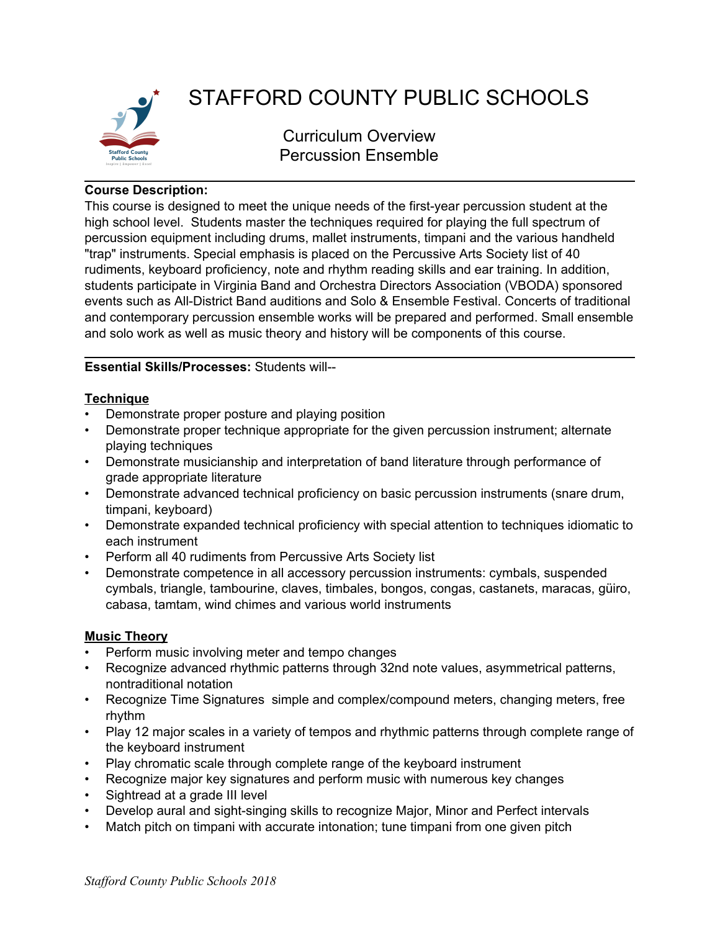

# STAFFORD COUNTY PUBLIC SCHOOLS

Curriculum Overview Percussion Ensemble

## **Course Description:**

This course is designed to meet the unique needs of the first-year percussion student at the high school level. Students master the techniques required for playing the full spectrum of percussion equipment including drums, mallet instruments, timpani and the various handheld "trap" instruments. Special emphasis is placed on the Percussive Arts Society list of 40 rudiments, keyboard proficiency, note and rhythm reading skills and ear training. In addition, students participate in Virginia Band and Orchestra Directors Association (VBODA) sponsored events such as All-District Band auditions and Solo & Ensemble Festival. Concerts of traditional and contemporary percussion ensemble works will be prepared and performed. Small ensemble and solo work as well as music theory and history will be components of this course.

# **Essential Skills/Processes:** Students will--

## **Technique**

- Demonstrate proper posture and playing position
- Demonstrate proper technique appropriate for the given percussion instrument; alternate playing techniques
- Demonstrate musicianship and interpretation of band literature through performance of grade appropriate literature
- Demonstrate advanced technical proficiency on basic percussion instruments (snare drum, timpani, keyboard)
- Demonstrate expanded technical proficiency with special attention to techniques idiomatic to each instrument
- Perform all 40 rudiments from Percussive Arts Society list
- Demonstrate competence in all accessory percussion instruments: cymbals, suspended cymbals, triangle, tambourine, claves, timbales, bongos, congas, castanets, maracas, güiro, cabasa, tamtam, wind chimes and various world instruments

# **Music Theory**

- Perform music involving meter and tempo changes
- Recognize advanced rhythmic patterns through 32nd note values, asymmetrical patterns, nontraditional notation
- Recognize Time Signatures simple and complex/compound meters, changing meters, free rhythm
- Play 12 major scales in a variety of tempos and rhythmic patterns through complete range of the keyboard instrument
- Play chromatic scale through complete range of the keyboard instrument
- Recognize major key signatures and perform music with numerous key changes
- Sightread at a grade III level
- Develop aural and sight-singing skills to recognize Major, Minor and Perfect intervals
- Match pitch on timpani with accurate intonation; tune timpani from one given pitch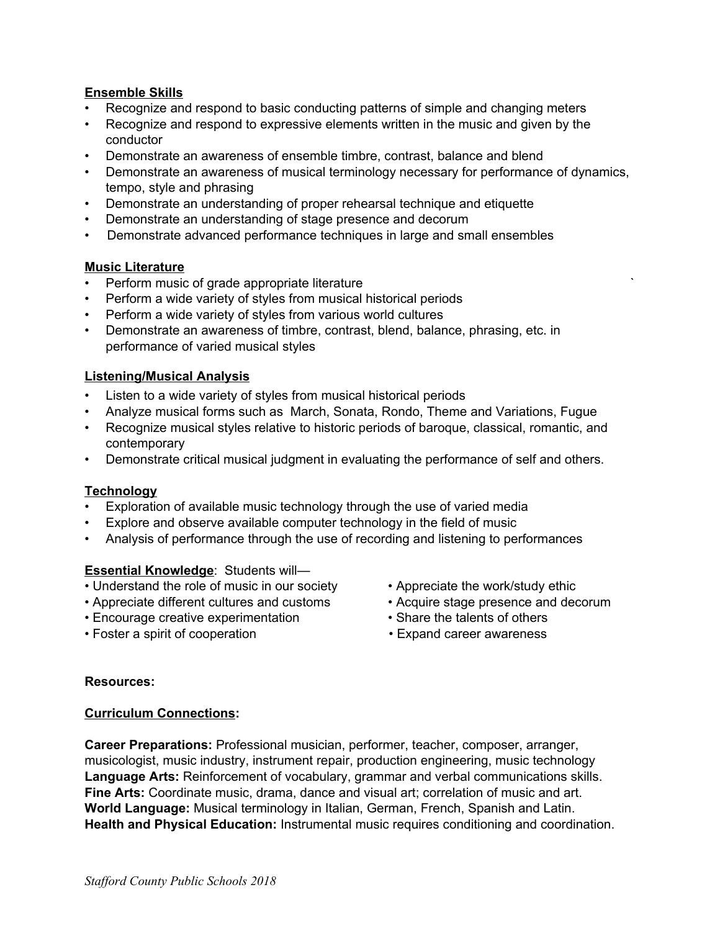## **Ensemble Skills**

- Recognize and respond to basic conducting patterns of simple and changing meters
- Recognize and respond to expressive elements written in the music and given by the conductor
- Demonstrate an awareness of ensemble timbre, contrast, balance and blend
- Demonstrate an awareness of musical terminology necessary for performance of dynamics, tempo, style and phrasing
- Demonstrate an understanding of proper rehearsal technique and etiquette
- Demonstrate an understanding of stage presence and decorum
- Demonstrate advanced performance techniques in large and small ensembles

## **Music Literature**

- Perform music of grade appropriate literature
- Perform a wide variety of styles from musical historical periods
- Perform a wide variety of styles from various world cultures
- Demonstrate an awareness of timbre, contrast, blend, balance, phrasing, etc. in performance of varied musical styles

## **Listening/Musical Analysis**

- Listen to a wide variety of styles from musical historical periods
- Analyze musical forms such as March, Sonata, Rondo, Theme and Variations, Fugue
- Recognize musical styles relative to historic periods of baroque, classical, romantic, and contemporary
- Demonstrate critical musical judgment in evaluating the performance of self and others.

## **Technology**

- Exploration of available music technology through the use of varied media
- Explore and observe available computer technology in the field of music
- Analysis of performance through the use of recording and listening to performances

#### **Essential Knowledge**: Students will—

- Understand the role of music in our society Appreciate the work/study ethic
- Appreciate different cultures and customs Acquire stage presence and decorum
- Encourage creative experimentation Share the talents of others
- Foster a spirit of cooperation Expand career awareness
- 
- 
- -

#### **Resources:**

#### **Curriculum Connections:**

**Career Preparations:** Professional musician, performer, teacher, composer, arranger, musicologist, music industry, instrument repair, production engineering, music technology **Language Arts:** Reinforcement of vocabulary, grammar and verbal communications skills. **Fine Arts:** Coordinate music, drama, dance and visual art; correlation of music and art. **World Language:** Musical terminology in Italian, German, French, Spanish and Latin. **Health and Physical Education:** Instrumental music requires conditioning and coordination.